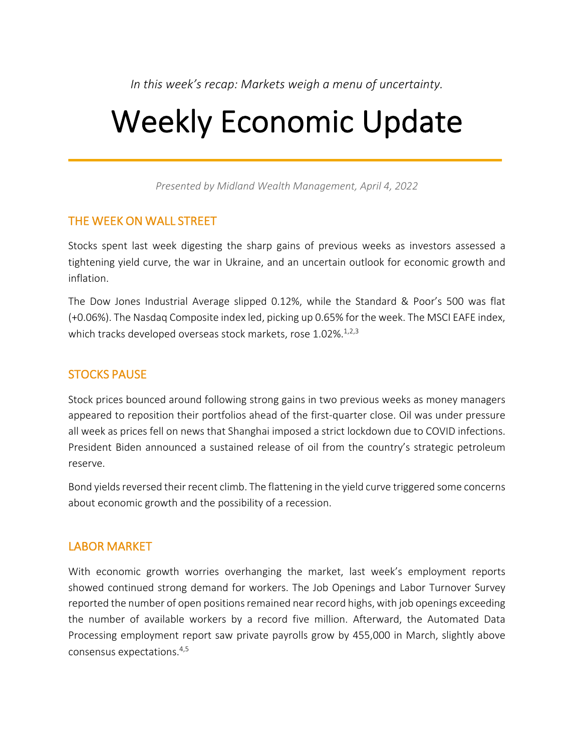*In this week's recap: Markets weigh a menu of uncertainty.*

# Weekly Economic Update

*Presented by Midland Wealth Management, April 4, 2022*

# THE WEEK ON WALL STREET

Stocks spent last week digesting the sharp gains of previous weeks as investors assessed a tightening yield curve, the war in Ukraine, and an uncertain outlook for economic growth and inflation.

The Dow Jones Industrial Average slipped 0.12%, while the Standard & Poor's 500 was flat (+0.06%). The Nasdaq Composite index led, picking up 0.65% for the week. The MSCI EAFE index, which tracks developed overseas stock markets, rose 1.02%.<sup>1,2,3</sup>

# STOCKS PAUSE

Stock prices bounced around following strong gains in two previous weeks as money managers appeared to reposition their portfolios ahead of the first-quarter close. Oil was under pressure all week as prices fell on news that Shanghai imposed a strict lockdown due to COVID infections. President Biden announced a sustained release of oil from the country's strategic petroleum reserve.

Bond yields reversed their recent climb. The flattening in the yield curve triggered some concerns about economic growth and the possibility of a recession.

# LABOR MARKET

With economic growth worries overhanging the market, last week's employment reports showed continued strong demand for workers. The Job Openings and Labor Turnover Survey reported the number of open positions remained near record highs, with job openings exceeding the number of available workers by a record five million. Afterward, the Automated Data Processing employment report saw private payrolls grow by 455,000 in March, slightly above consensus expectations.4,5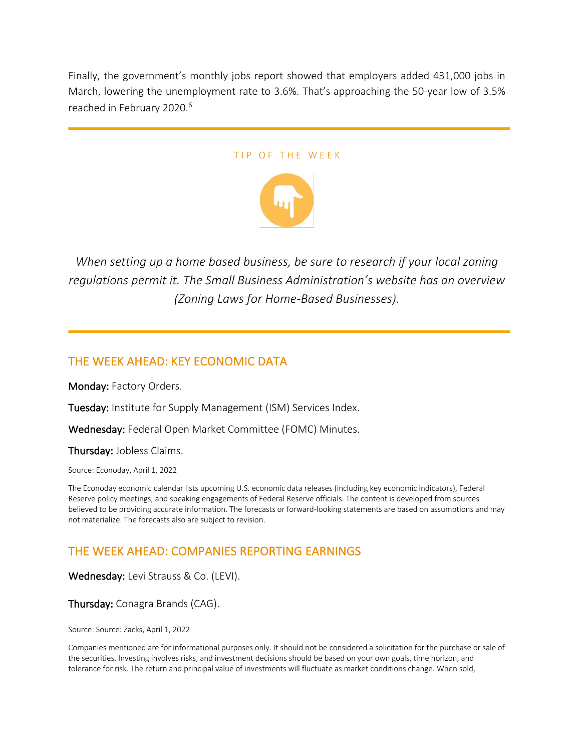Finally, the government's monthly jobs report showed that employers added 431,000 jobs in March, lowering the unemployment rate to 3.6%. That's approaching the 50-year low of 3.5% reached in February 2020.<sup>6</sup>

#### TIP OF THE WEEK



*When setting up a home based business, be sure to research if your local zoning regulations permit it. The Small Business Administration's website has an overview (Zoning Laws for Home-Based Businesses).*

# THE WEEK AHEAD: KEY ECONOMIC DATA

Monday: Factory Orders.

Tuesday: Institute for Supply Management (ISM) Services Index.

Wednesday: Federal Open Market Committee (FOMC) Minutes.

Thursday: Jobless Claims.

Source: Econoday, April 1, 2022

The Econoday economic calendar lists upcoming U.S. economic data releases (including key economic indicators), Federal Reserve policy meetings, and speaking engagements of Federal Reserve officials. The content is developed from sources believed to be providing accurate information. The forecasts or forward-looking statements are based on assumptions and may not materialize. The forecasts also are subject to revision.

# THE WEEK AHEAD: COMPANIES REPORTING EARNINGS

Wednesday: Levi Strauss & Co. (LEVI).

Thursday: Conagra Brands (CAG).

Source: Source: Zacks, April 1, 2022

Companies mentioned are for informational purposes only. It should not be considered a solicitation for the purchase or sale of the securities. Investing involves risks, and investment decisions should be based on your own goals, time horizon, and tolerance for risk. The return and principal value of investments will fluctuate as market conditions change. When sold,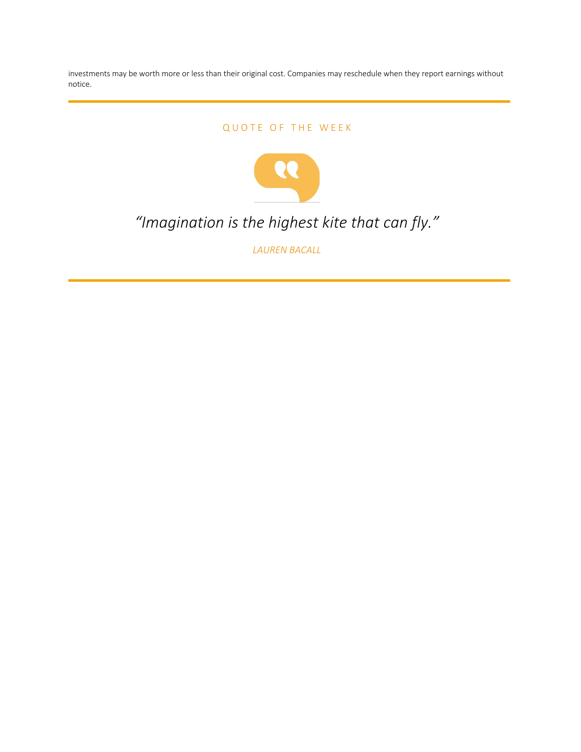investments may be worth more or less than their original cost. Companies may reschedule when they report earnings without notice.

#### QUOTE OF THE WEEK



# *"Imagination is the highest kite that can fly."*

*LAUREN BACALL*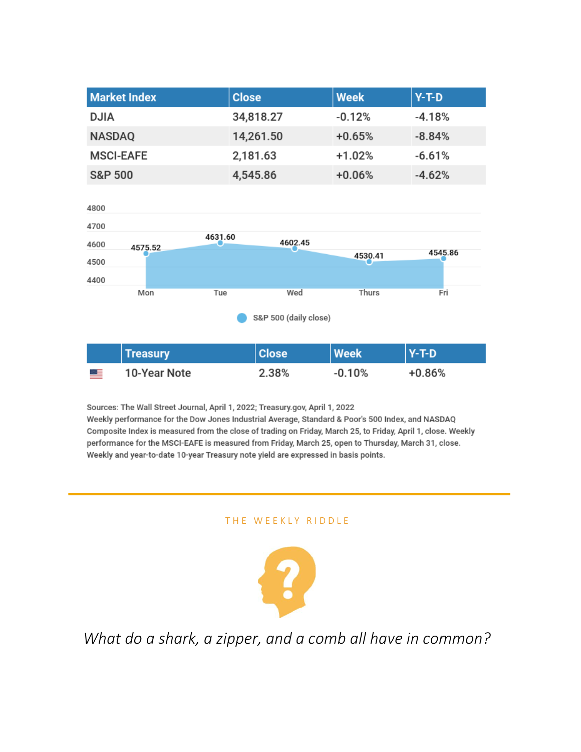| <b>Market Index</b> | <b>Close</b> | <b>Week</b> | $Y-T-D$  |
|---------------------|--------------|-------------|----------|
| <b>DJIA</b>         | 34,818.27    | $-0.12%$    | $-4.18%$ |
| <b>NASDAQ</b>       | 14,261.50    | $+0.65%$    | $-8.84%$ |
| <b>MSCI-EAFE</b>    | 2,181.63     | $+1.02%$    | $-6.61%$ |
| <b>S&amp;P 500</b>  | 4,545.86     | $+0.06%$    | $-4.62%$ |



|            | Treasury     | <b>Close</b> | <b>Week</b> | $Y-T-D$  |
|------------|--------------|--------------|-------------|----------|
| <u>e e</u> | 10-Year Note | 2.38%        | $-0.10%$    | $+0.86%$ |

Sources: The Wall Street Journal, April 1, 2022; Treasury.gov, April 1, 2022 Weekly performance for the Dow Jones Industrial Average, Standard & Poor's 500 Index, and NASDAQ Composite Index is measured from the close of trading on Friday, March 25, to Friday, April 1, close. Weekly performance for the MSCI-EAFE is measured from Friday, March 25, open to Thursday, March 31, close. Weekly and year-to-date 10-year Treasury note yield are expressed in basis points.

#### THE WEEKLY RIDDLE



*What do a shark, a zipper, and a comb all have in common?*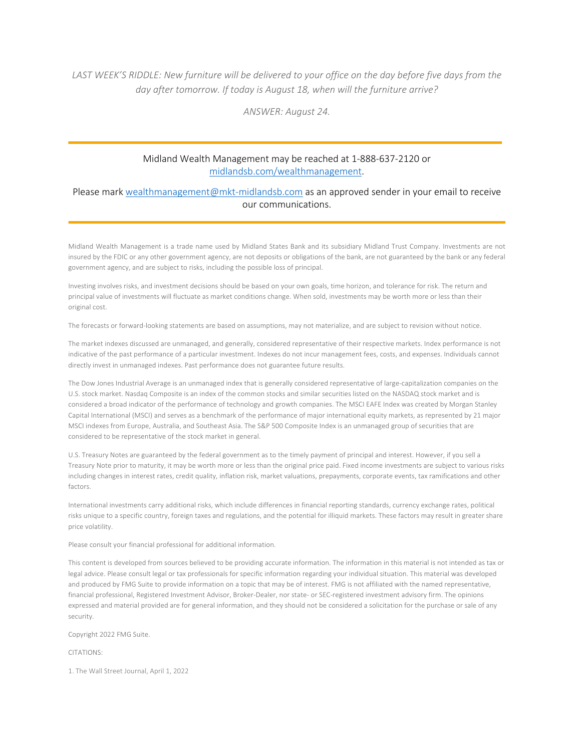#### LAST WEEK'S RIDDLE: New furniture will be delivered to your office on the day before five days from the *day after tomorrow. If today is August 18, when will the furniture arrive?*

*ANSWER: August 24.*

#### Midland Wealth Management may be reached at 1-888-637-2120 or midlandsb.com/wealthmanagement.

#### Please mark wealthmanagement@mkt-midlandsb.com as an approved sender in your email to receive our communications.

Midland Wealth Management is a trade name used by Midland States Bank and its subsidiary Midland Trust Company. Investments are not insured by the FDIC or any other government agency, are not deposits or obligations of the bank, are not guaranteed by the bank or any federal government agency, and are subject to risks, including the possible loss of principal.

Investing involves risks, and investment decisions should be based on your own goals, time horizon, and tolerance for risk. The return and principal value of investments will fluctuate as market conditions change. When sold, investments may be worth more or less than their original cost.

The forecasts or forward-looking statements are based on assumptions, may not materialize, and are subject to revision without notice.

The market indexes discussed are unmanaged, and generally, considered representative of their respective markets. Index performance is not indicative of the past performance of a particular investment. Indexes do not incur management fees, costs, and expenses. Individuals cannot directly invest in unmanaged indexes. Past performance does not guarantee future results.

The Dow Jones Industrial Average is an unmanaged index that is generally considered representative of large-capitalization companies on the U.S. stock market. Nasdaq Composite is an index of the common stocks and similar securities listed on the NASDAQ stock market and is considered a broad indicator of the performance of technology and growth companies. The MSCI EAFE Index was created by Morgan Stanley Capital International (MSCI) and serves as a benchmark of the performance of major international equity markets, as represented by 21 major MSCI indexes from Europe, Australia, and Southeast Asia. The S&P 500 Composite Index is an unmanaged group of securities that are considered to be representative of the stock market in general.

U.S. Treasury Notes are guaranteed by the federal government as to the timely payment of principal and interest. However, if you sell a Treasury Note prior to maturity, it may be worth more or less than the original price paid. Fixed income investments are subject to various risks including changes in interest rates, credit quality, inflation risk, market valuations, prepayments, corporate events, tax ramifications and other factors.

International investments carry additional risks, which include differences in financial reporting standards, currency exchange rates, political risks unique to a specific country, foreign taxes and regulations, and the potential for illiquid markets. These factors may result in greater share price volatility.

Please consult your financial professional for additional information.

This content is developed from sources believed to be providing accurate information. The information in this material is not intended as tax or legal advice. Please consult legal or tax professionals for specific information regarding your individual situation. This material was developed and produced by FMG Suite to provide information on a topic that may be of interest. FMG is not affiliated with the named representative, financial professional, Registered Investment Advisor, Broker-Dealer, nor state- or SEC-registered investment advisory firm. The opinions expressed and material provided are for general information, and they should not be considered a solicitation for the purchase or sale of any security.

Copyright 2022 FMG Suite.

CITATIONS:

1. The Wall Street Journal, April 1, 2022